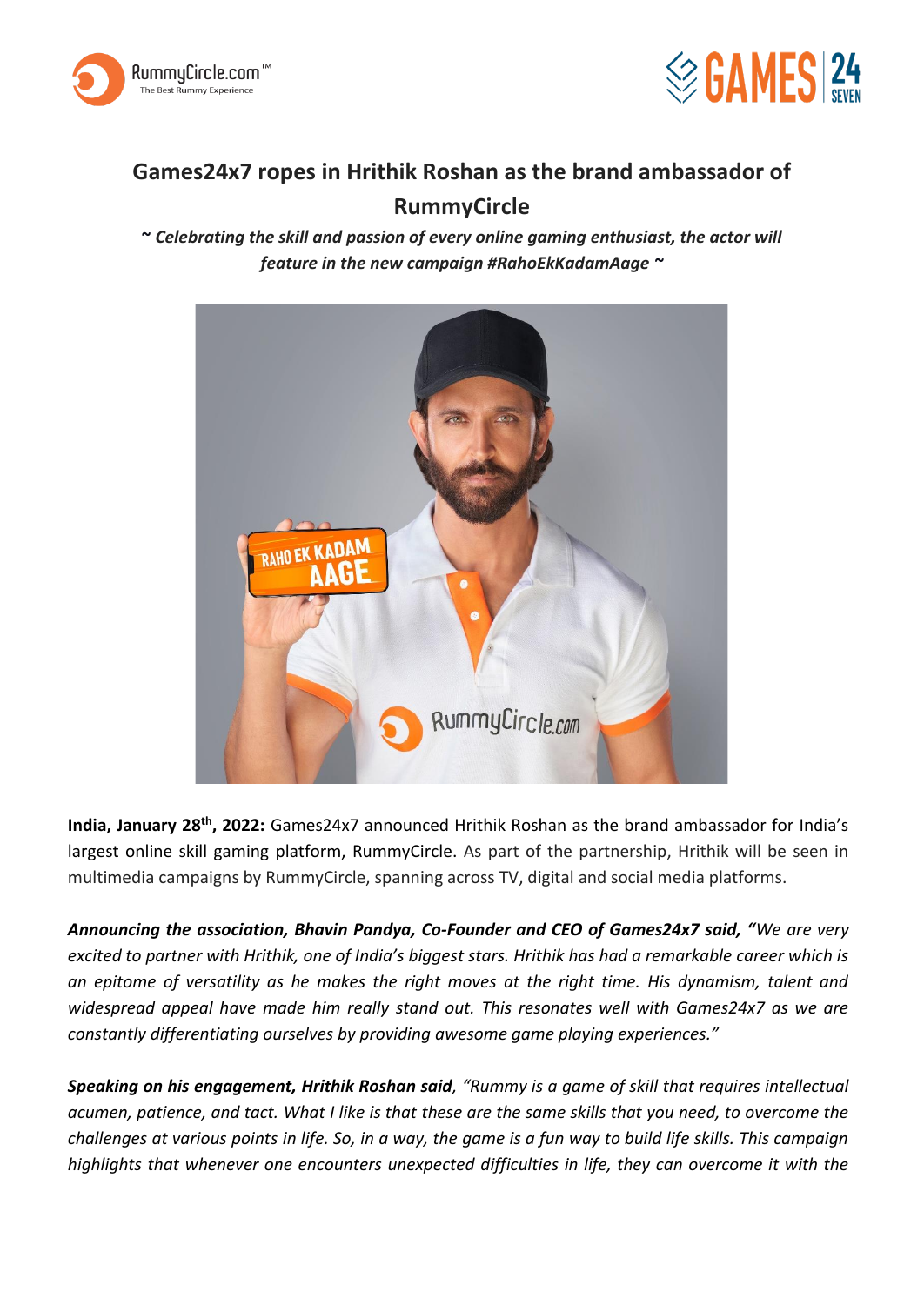



## **Games24x7 ropes in Hrithik Roshan as the brand ambassador of RummyCircle**

**~** *Celebrating the skill and passion of every online gaming enthusiast, the actor will feature in the new campaign #RahoEkKadamAage ~*



**India, January 28th, 2022:** Games24x7 announced Hrithik Roshan as the brand ambassador for India's largest online skill gaming platform, RummyCircle. As part of the partnership, Hrithik will be seen in multimedia campaigns by RummyCircle, spanning across TV, digital and social media platforms.

*Announcing the association, Bhavin Pandya, Co-Founder and CEO of Games24x7 said, "We are very excited to partner with Hrithik, one of India's biggest stars. Hrithik has had a remarkable career which is an epitome of versatility as he makes the right moves at the right time. His dynamism, talent and widespread appeal have made him really stand out. This resonates well with Games24x7 as we are constantly differentiating ourselves by providing awesome game playing experiences."* 

*Speaking on his engagement, Hrithik Roshan said, "Rummy is a game of skill that requires intellectual acumen, patience, and tact. What I like is that these are the same skills that you need, to overcome the challenges at various points in life. So, in a way, the game is a fun way to build life skills. This campaign highlights that whenever one encounters unexpected difficulties in life, they can overcome it with the*